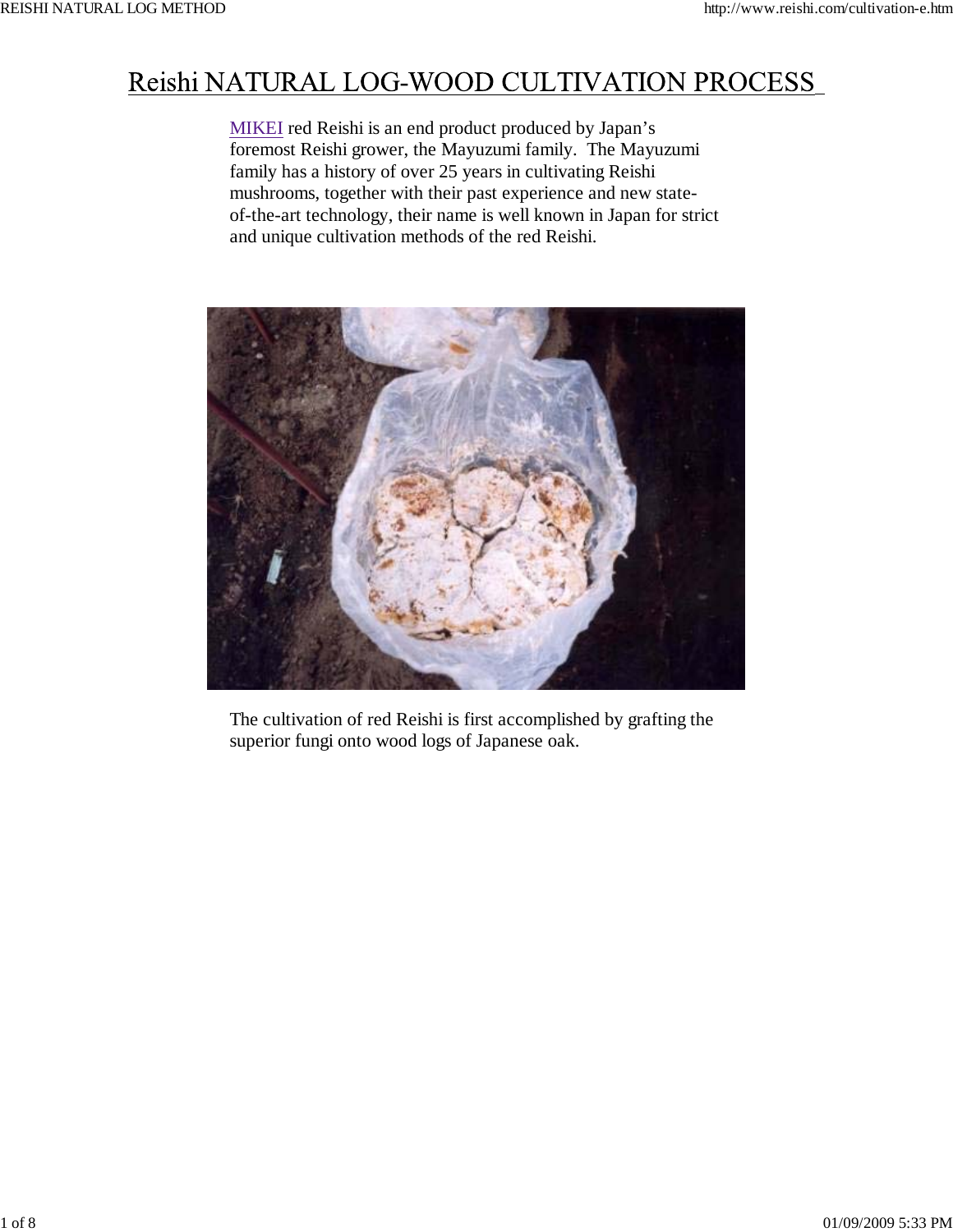## Reishi NATURAL LOG-WOOD CULTIVATION PROCESS

MIKEI red Reishi is an end product produced by Japan's foremost Reishi grower, the Mayuzumi family. The Mayuzumi family has a history of over 25 years in cultivating Reishi mushrooms, together with their past experience and new stateof-the-art technology, their name is well known in Japan for strict and unique cultivation methods of the red Reishi.



The cultivation of red Reishi is first accomplished by grafting the superior fungi onto wood logs of Japanese oak.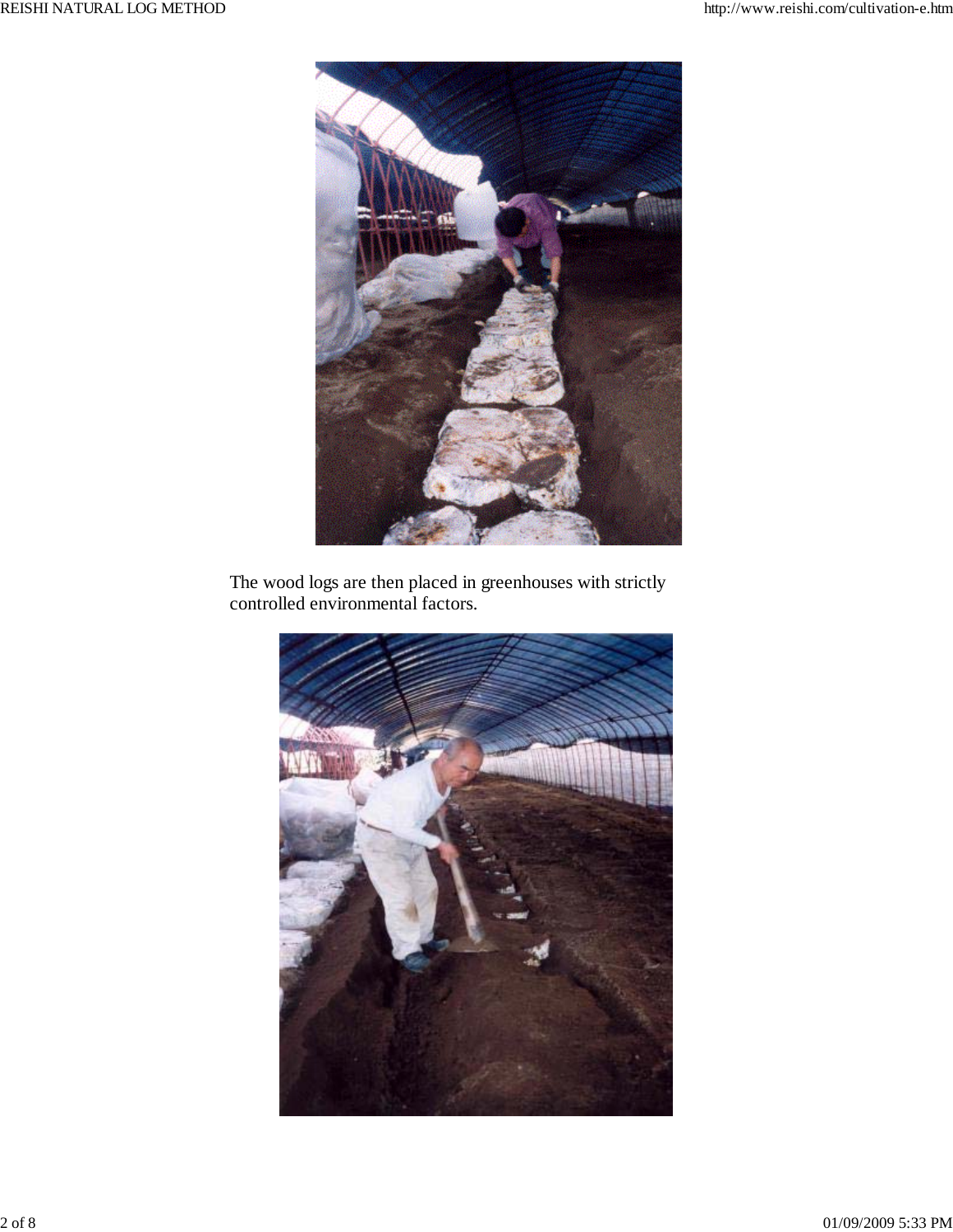

The wood logs are then placed in greenhouses with strictly controlled environmental factors.

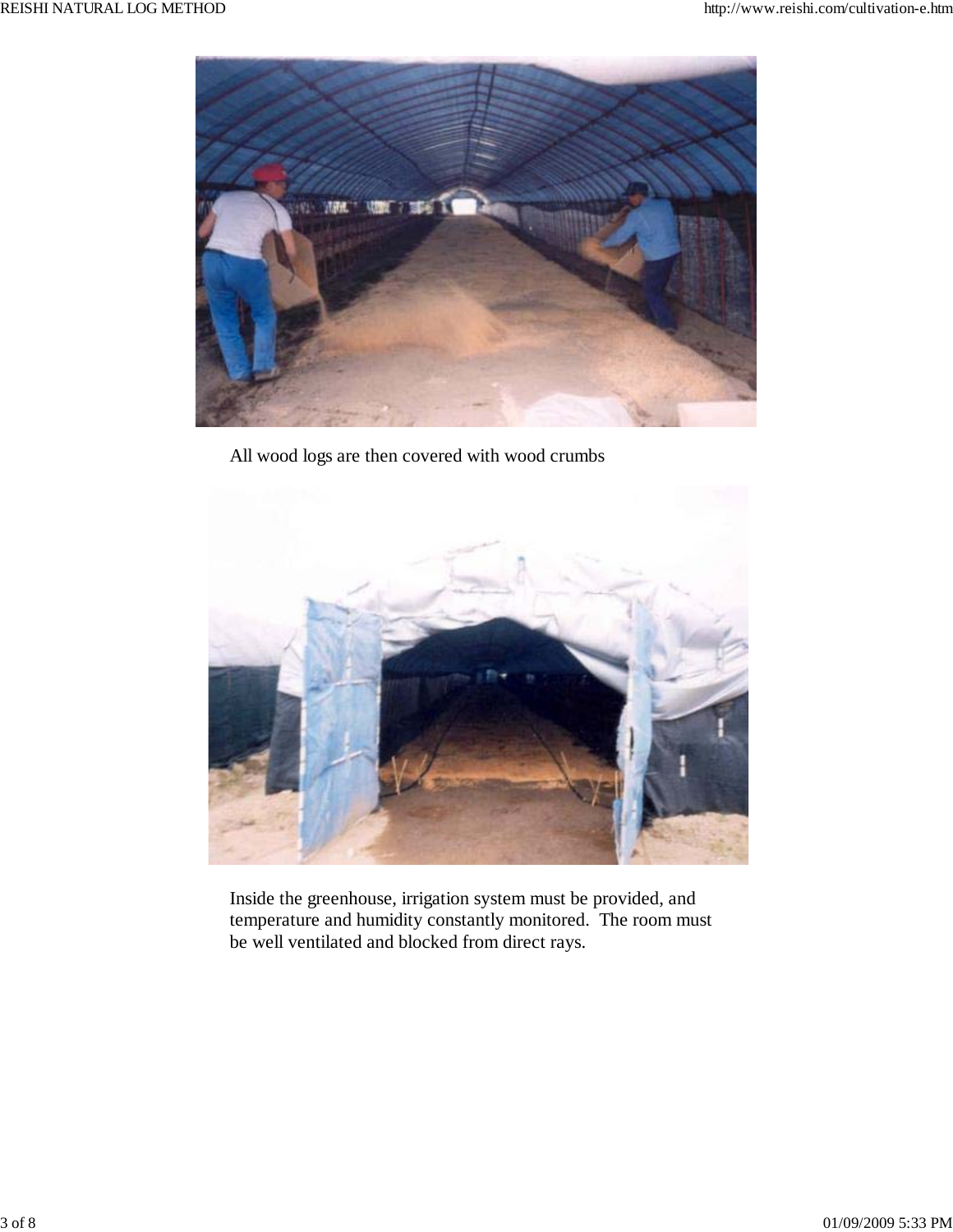

All wood logs are then covered with wood crumbs



Inside the greenhouse, irrigation system must be provided, and temperature and humidity constantly monitored. The room must be well ventilated and blocked from direct rays.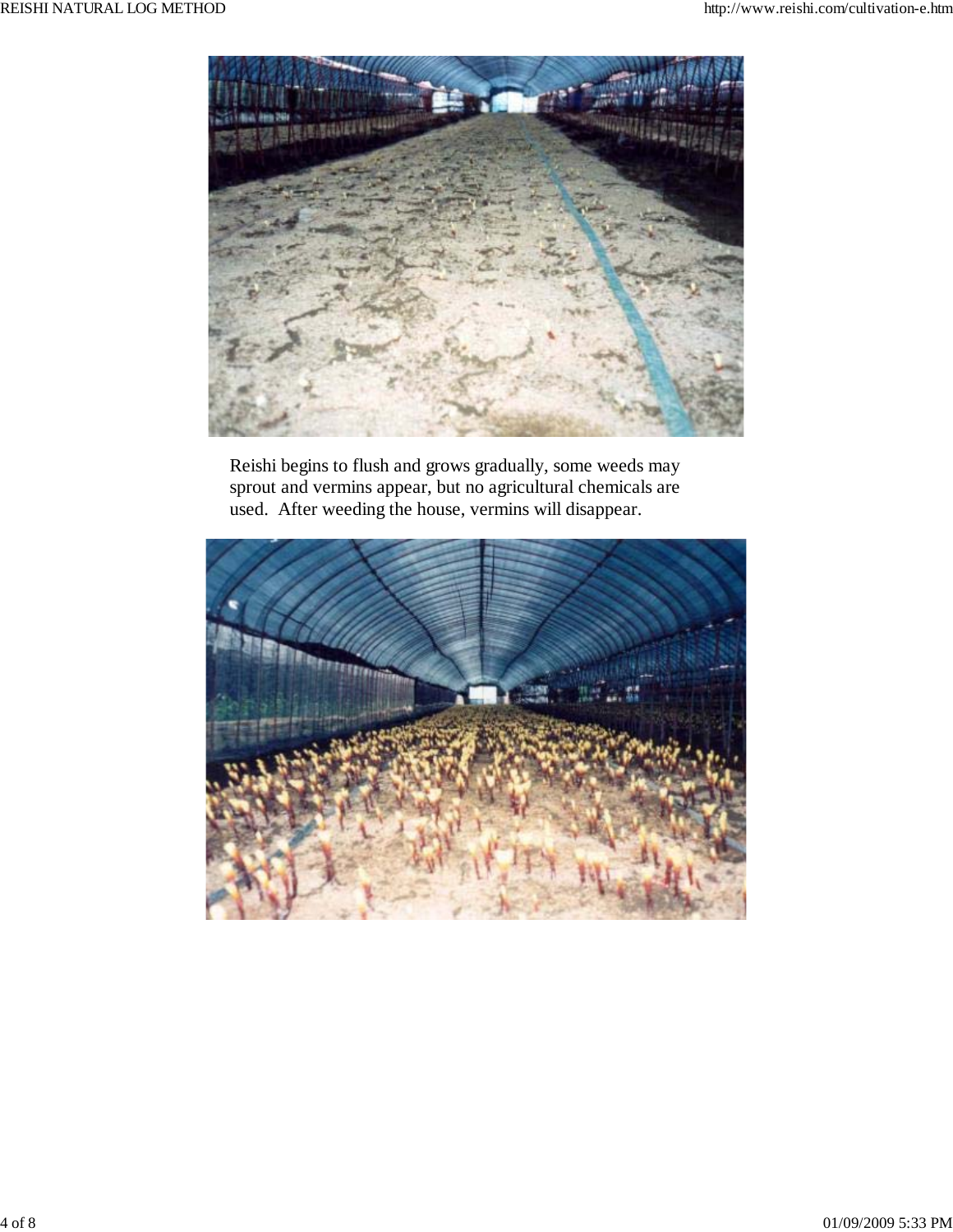

Reishi begins to flush and grows gradually, some weeds may sprout and vermins appear, but no agricultural chemicals are used. After weeding the house, vermins will disappear.

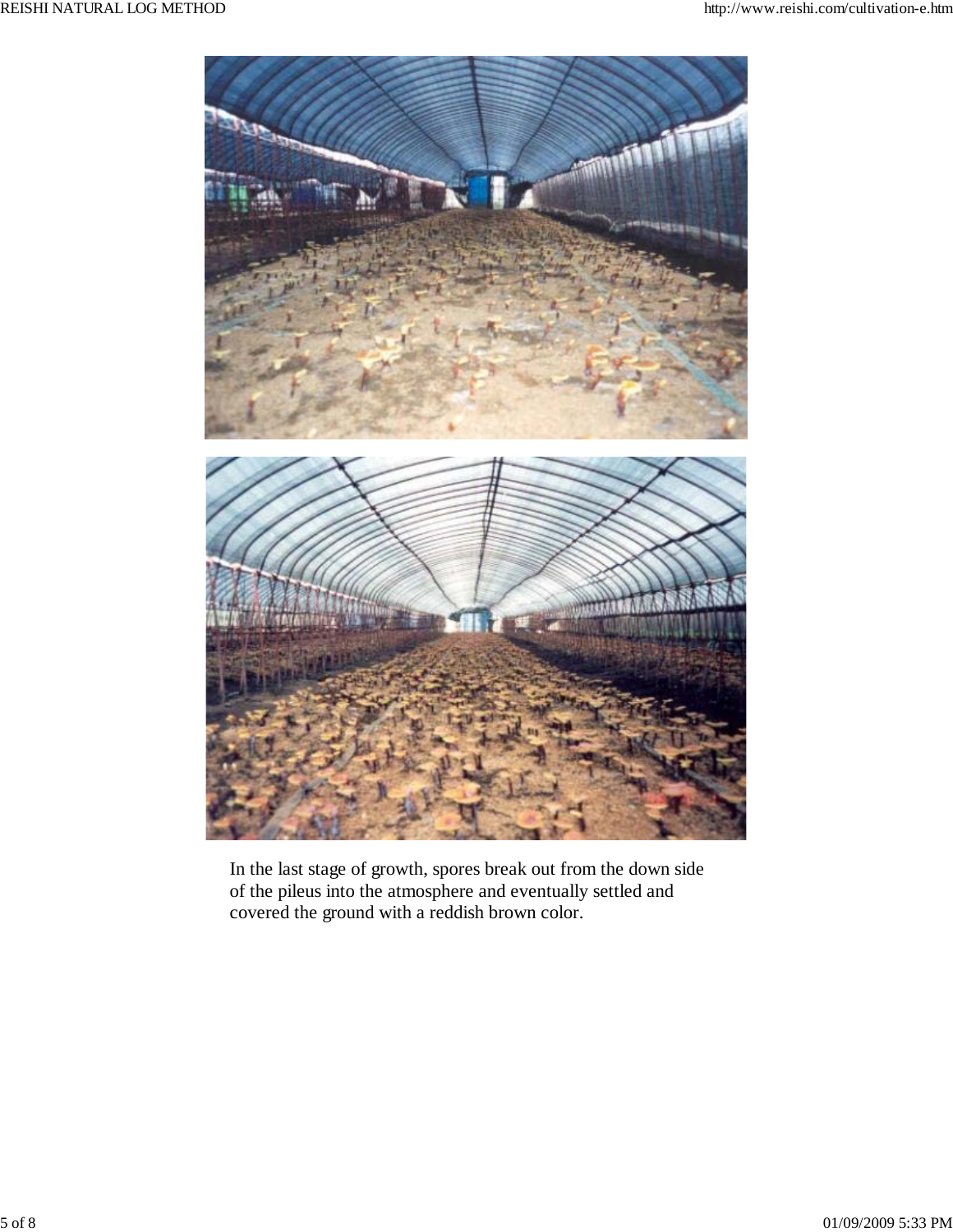

In the last stage of growth, spores break out from the down side of the pileus into the atmosphere and eventually settled and covered the ground with a reddish brown color.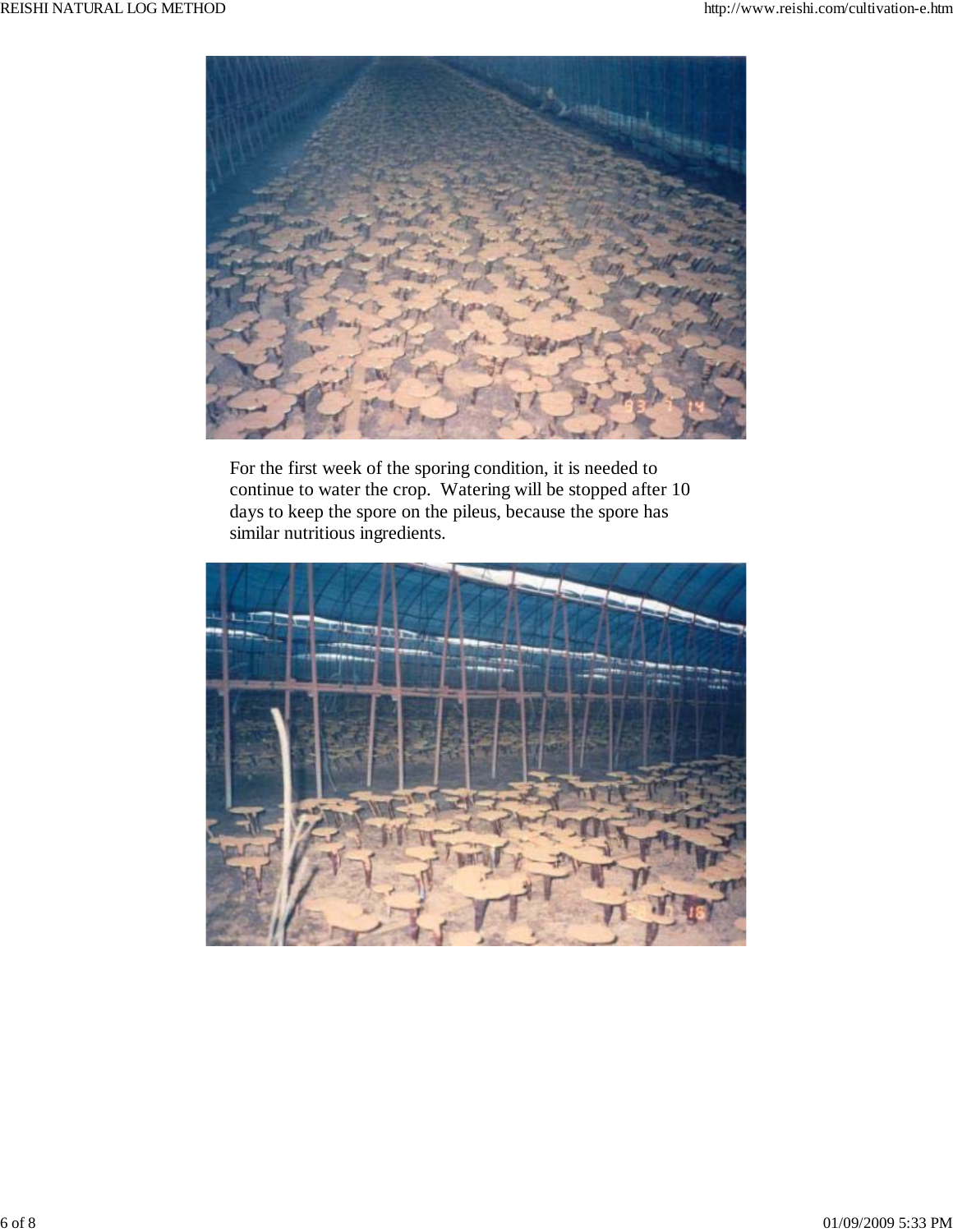

For the first week of the sporing condition, it is needed to continue to water the crop. Watering will be stopped after 10 days to keep the spore on the pileus, because the spore has similar nutritious ingredients.

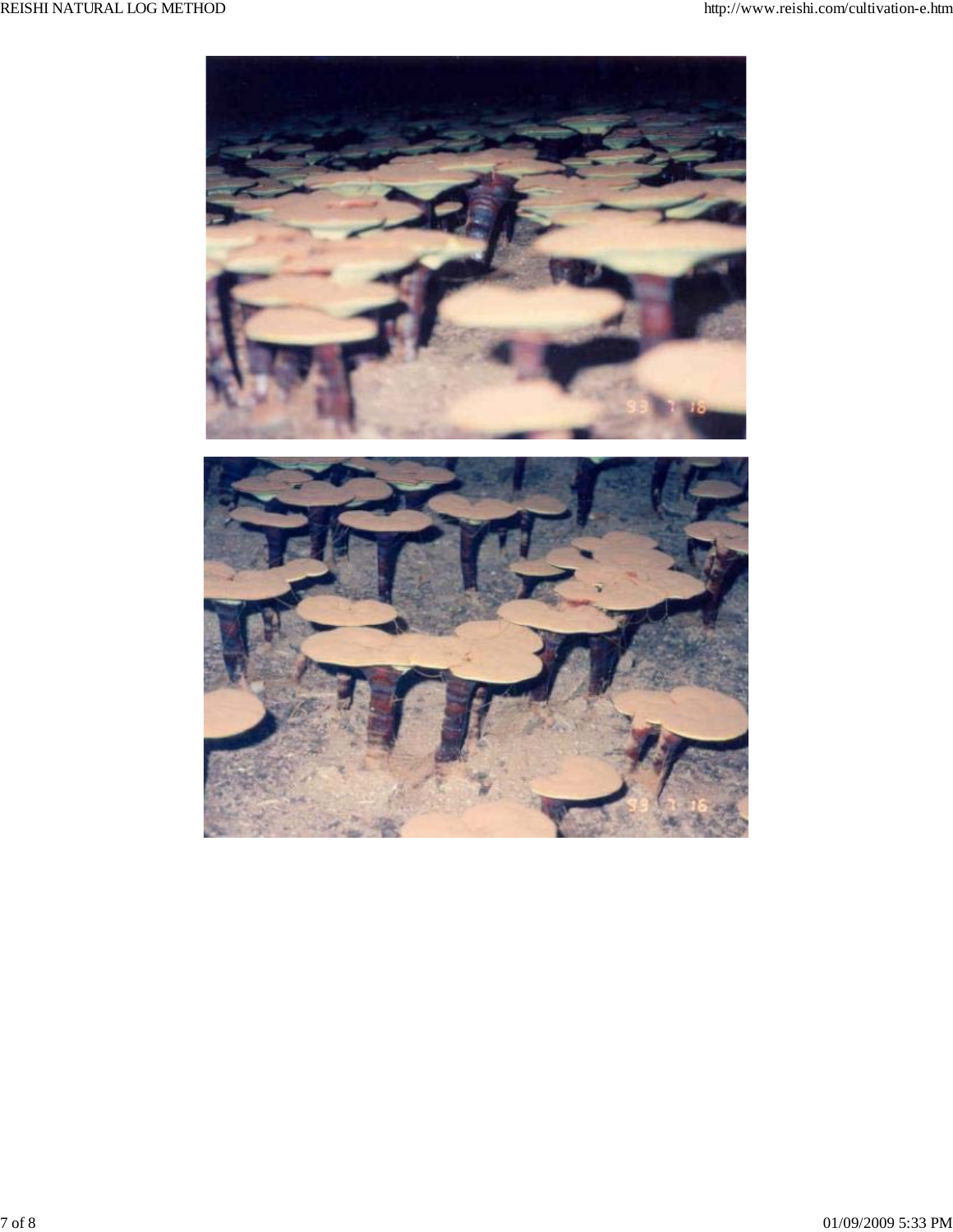